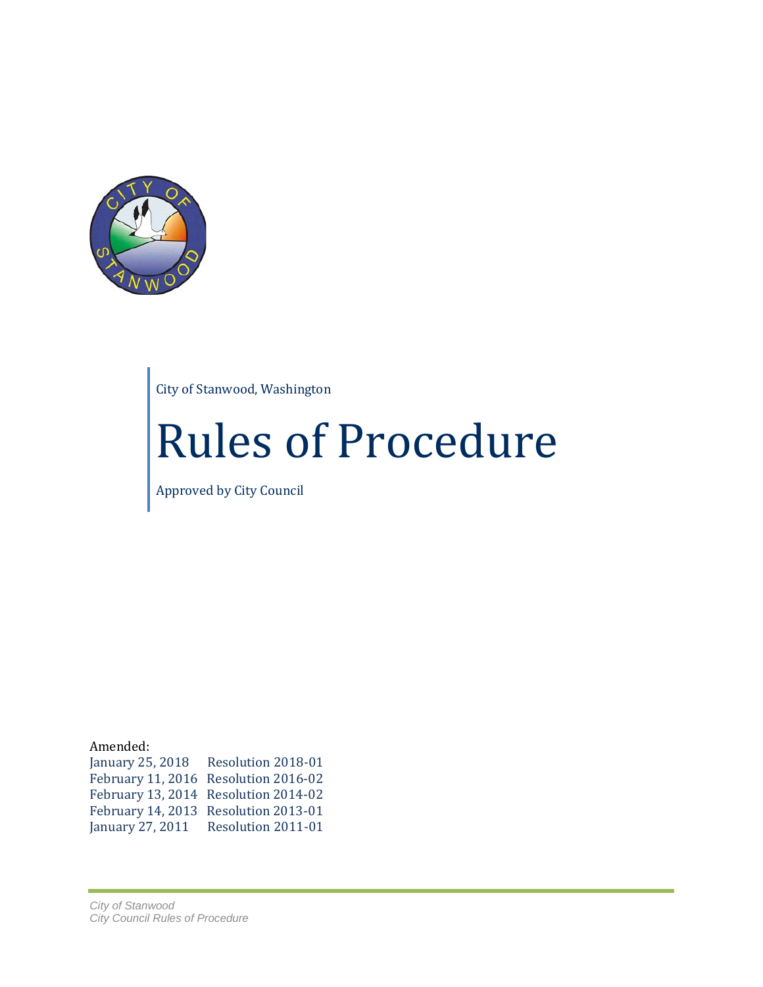

City of Stanwood, Washington

# Rules of Procedure

Approved by City Council

Amended: January 25, 2018 Resolution 2018-01 February 11, 2016 Resolution 2016-02 February 13, 2014 Resolution 2014-02 February 14, 2013 Resolution 2013-01 January 27, 2011 Resolution 2011-01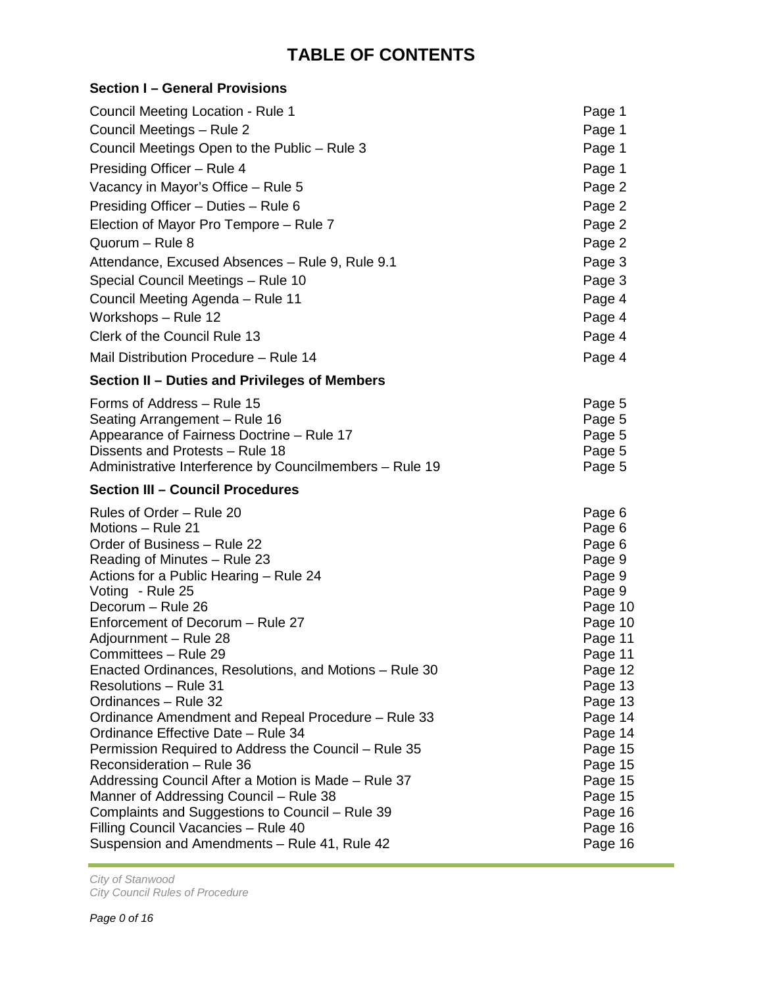## **TABLE OF CONTENTS**

| Section I – General Provisions                                                           |                    |
|------------------------------------------------------------------------------------------|--------------------|
| Council Meeting Location - Rule 1                                                        | Page 1             |
| Council Meetings - Rule 2                                                                | Page 1             |
| Council Meetings Open to the Public - Rule 3                                             | Page 1             |
| Presiding Officer - Rule 4                                                               | Page 1             |
| Vacancy in Mayor's Office – Rule 5                                                       | Page 2             |
| Presiding Officer - Duties - Rule 6                                                      | Page 2             |
| Election of Mayor Pro Tempore - Rule 7                                                   | Page 2             |
| Quorum - Rule 8                                                                          | Page 2             |
| Attendance, Excused Absences - Rule 9, Rule 9.1                                          | Page 3             |
| Special Council Meetings - Rule 10                                                       | Page 3             |
| Council Meeting Agenda - Rule 11                                                         | Page 4             |
| Workshops - Rule 12                                                                      | Page 4             |
| Clerk of the Council Rule 13                                                             | Page 4             |
| Mail Distribution Procedure - Rule 14                                                    | Page 4             |
| Section II - Duties and Privileges of Members                                            |                    |
| Forms of Address - Rule 15                                                               |                    |
| Seating Arrangement - Rule 16                                                            | Page 5<br>Page 5   |
| Appearance of Fairness Doctrine - Rule 17                                                | Page 5             |
| Dissents and Protests - Rule 18                                                          | Page 5             |
| Administrative Interference by Councilmembers - Rule 19                                  | Page 5             |
| <b>Section III - Council Procedures</b>                                                  |                    |
| Rules of Order - Rule 20                                                                 | Page 6             |
| Motions – Rule 21                                                                        | Page 6             |
| Order of Business - Rule 22                                                              | Page 6             |
| Reading of Minutes - Rule 23                                                             | Page 9             |
| Actions for a Public Hearing – Rule 24                                                   | Page 9             |
| Voting - Rule 25                                                                         | Page 9             |
| Decorum - Rule 26                                                                        | Page 10            |
| Enforcement of Decorum - Rule 27                                                         | Page 10            |
| Adjournment – Rule 28                                                                    | Page 11            |
| Committees - Rule 29                                                                     | Page 11            |
| Enacted Ordinances, Resolutions, and Motions - Rule 30                                   | Page 12            |
| <b>Resolutions - Rule 31</b>                                                             | Page 13            |
| Ordinances - Rule 32                                                                     | Page 13<br>Page 14 |
| Ordinance Amendment and Repeal Procedure - Rule 33<br>Ordinance Effective Date - Rule 34 | Page 14            |
| Permission Required to Address the Council - Rule 35                                     | Page 15            |
| Reconsideration - Rule 36                                                                | Page 15            |
| Addressing Council After a Motion is Made - Rule 37                                      | Page 15            |
| Manner of Addressing Council – Rule 38                                                   | Page 15            |
| Complaints and Suggestions to Council - Rule 39                                          | Page 16            |
| Filling Council Vacancies - Rule 40                                                      | Page 16            |
| Suspension and Amendments - Rule 41, Rule 42                                             | Page 16            |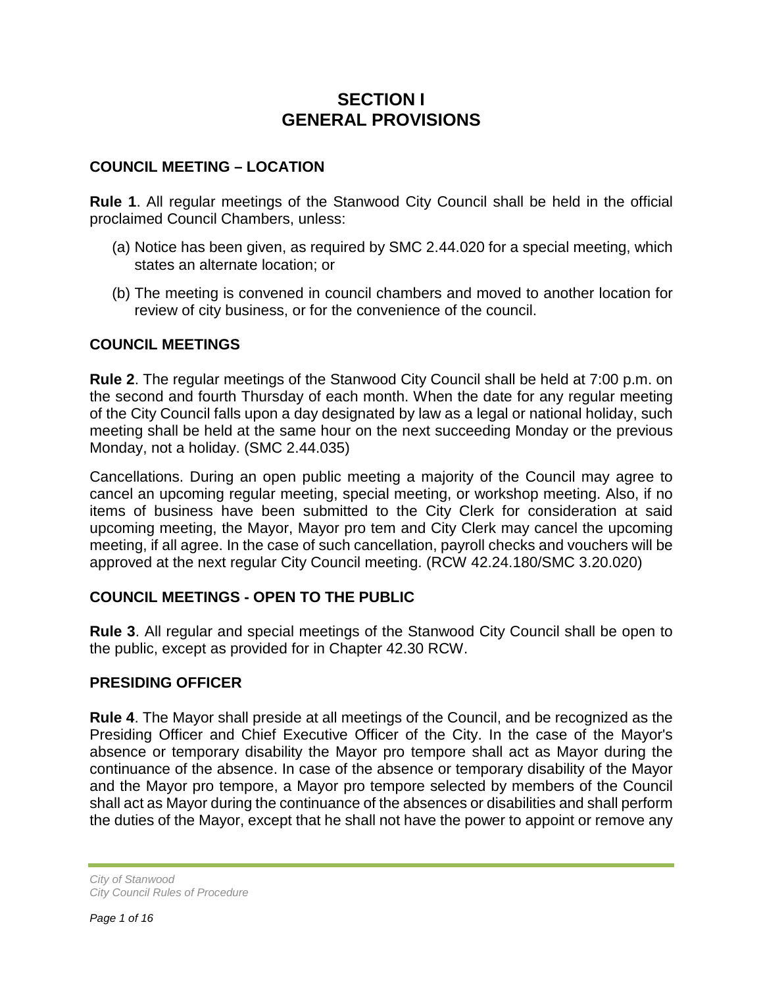## **SECTION I GENERAL PROVISIONS**

#### **COUNCIL MEETING – LOCATION**

**Rule 1**. All regular meetings of the Stanwood City Council shall be held in the official proclaimed Council Chambers, unless:

- (a) Notice has been given, as required by SMC 2.44.020 for a special meeting, which states an alternate location; or
- (b) The meeting is convened in council chambers and moved to another location for review of city business, or for the convenience of the council.

#### **COUNCIL MEETINGS**

**Rule 2**. The regular meetings of the Stanwood City Council shall be held at 7:00 p.m. on the second and fourth Thursday of each month. When the date for any regular meeting of the City Council falls upon a day designated by law as a legal or national holiday, such meeting shall be held at the same hour on the next succeeding Monday or the previous Monday, not a holiday. (SMC 2.44.035)

Cancellations. During an open public meeting a majority of the Council may agree to cancel an upcoming regular meeting, special meeting, or workshop meeting. Also, if no items of business have been submitted to the City Clerk for consideration at said upcoming meeting, the Mayor, Mayor pro tem and City Clerk may cancel the upcoming meeting, if all agree. In the case of such cancellation, payroll checks and vouchers will be approved at the next regular City Council meeting. (RCW 42.24.180/SMC 3.20.020)

#### **COUNCIL MEETINGS - OPEN TO THE PUBLIC**

**Rule 3**. All regular and special meetings of the Stanwood City Council shall be open to the public, except as provided for in Chapter 42.30 RCW.

#### **PRESIDING OFFICER**

**Rule 4**. The Mayor shall preside at all meetings of the Council, and be recognized as the Presiding Officer and Chief Executive Officer of the City. In the case of the Mayor's absence or temporary disability the Mayor pro tempore shall act as Mayor during the continuance of the absence. In case of the absence or temporary disability of the Mayor and the Mayor pro tempore, a Mayor pro tempore selected by members of the Council shall act as Mayor during the continuance of the absences or disabilities and shall perform the duties of the Mayor, except that he shall not have the power to appoint or remove any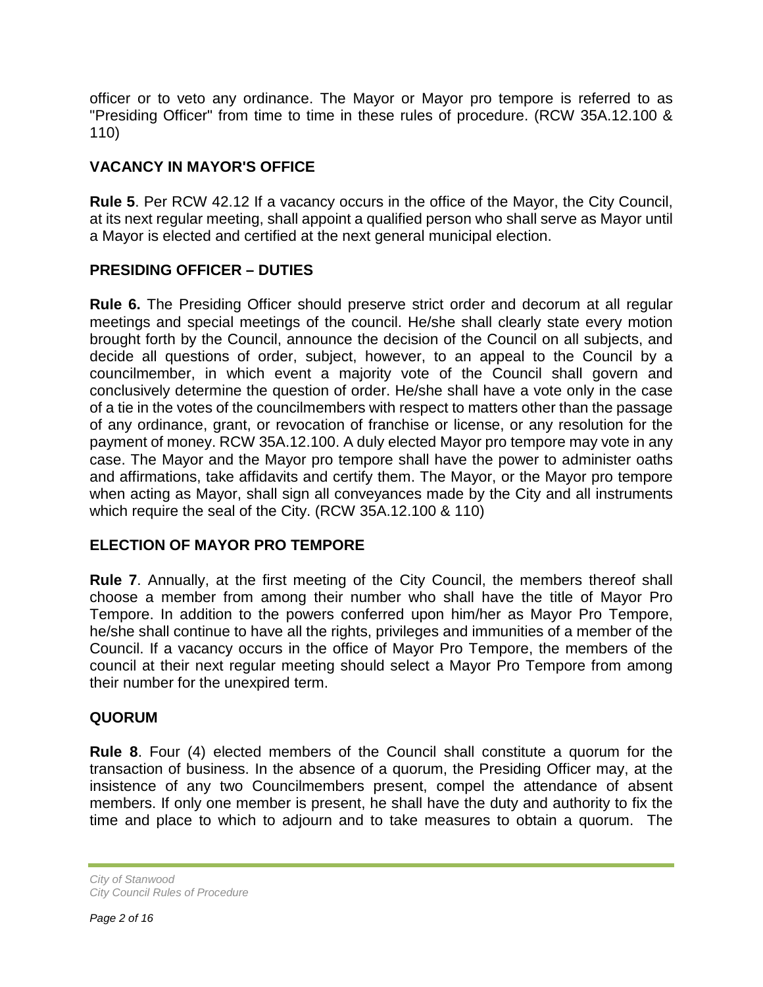officer or to veto any ordinance. The Mayor or Mayor pro tempore is referred to as "Presiding Officer" from time to time in these rules of procedure. (RCW 35A.12.100 & 110)

## **VACANCY IN MAYOR'S OFFICE**

**Rule 5**. Per RCW 42.12 If a vacancy occurs in the office of the Mayor, the City Council, at its next regular meeting, shall appoint a qualified person who shall serve as Mayor until a Mayor is elected and certified at the next general municipal election.

## **PRESIDING OFFICER – DUTIES**

**Rule 6.** The Presiding Officer should preserve strict order and decorum at all regular meetings and special meetings of the council. He/she shall clearly state every motion brought forth by the Council, announce the decision of the Council on all subjects, and decide all questions of order, subject, however, to an appeal to the Council by a councilmember, in which event a majority vote of the Council shall govern and conclusively determine the question of order. He/she shall have a vote only in the case of a tie in the votes of the councilmembers with respect to matters other than the passage of any ordinance, grant, or revocation of franchise or license, or any resolution for the payment of money. RCW 35A.12.100. A duly elected Mayor pro tempore may vote in any case. The Mayor and the Mayor pro tempore shall have the power to administer oaths and affirmations, take affidavits and certify them. The Mayor, or the Mayor pro tempore when acting as Mayor, shall sign all conveyances made by the City and all instruments which require the seal of the City. (RCW 35A.12.100 & 110)

#### **ELECTION OF MAYOR PRO TEMPORE**

**Rule 7**. Annually, at the first meeting of the City Council, the members thereof shall choose a member from among their number who shall have the title of Mayor Pro Tempore. In addition to the powers conferred upon him/her as Mayor Pro Tempore, he/she shall continue to have all the rights, privileges and immunities of a member of the Council. If a vacancy occurs in the office of Mayor Pro Tempore, the members of the council at their next regular meeting should select a Mayor Pro Tempore from among their number for the unexpired term.

#### **QUORUM**

**Rule 8**. Four (4) elected members of the Council shall constitute a quorum for the transaction of business. In the absence of a quorum, the Presiding Officer may, at the insistence of any two Councilmembers present, compel the attendance of absent members. If only one member is present, he shall have the duty and authority to fix the time and place to which to adjourn and to take measures to obtain a quorum. The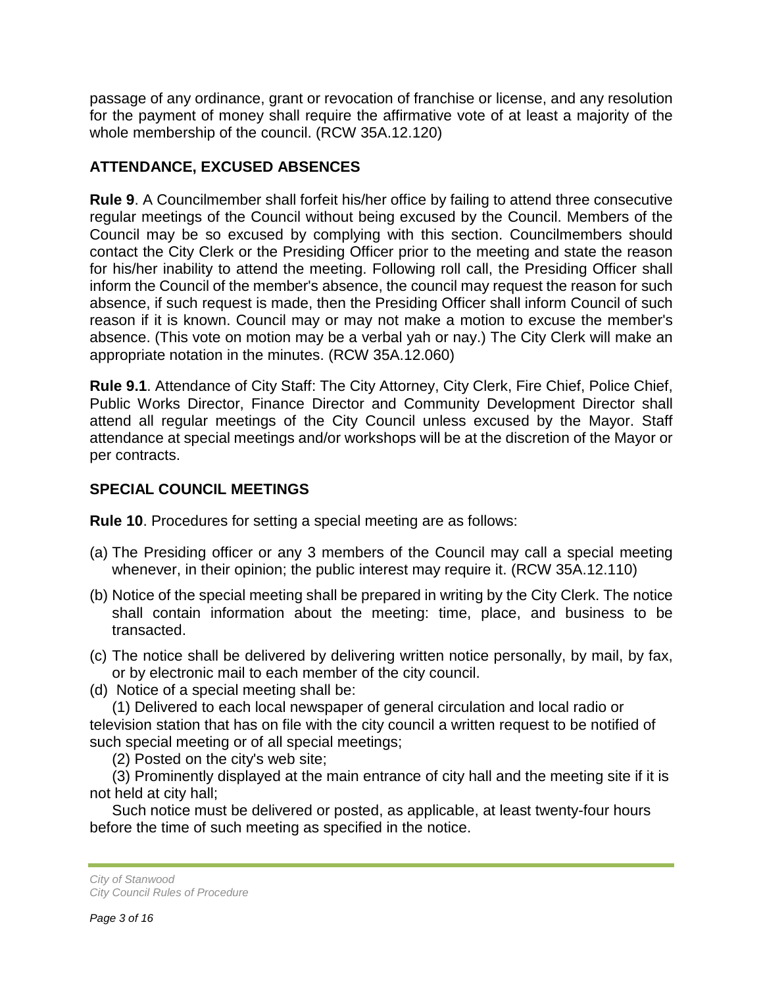passage of any ordinance, grant or revocation of franchise or license, and any resolution for the payment of money shall require the affirmative vote of at least a majority of the whole membership of the council. (RCW 35A.12.120)

## **ATTENDANCE, EXCUSED ABSENCES**

**Rule 9**. A Councilmember shall forfeit his/her office by failing to attend three consecutive regular meetings of the Council without being excused by the Council. Members of the Council may be so excused by complying with this section. Councilmembers should contact the City Clerk or the Presiding Officer prior to the meeting and state the reason for his/her inability to attend the meeting. Following roll call, the Presiding Officer shall inform the Council of the member's absence, the council may request the reason for such absence, if such request is made, then the Presiding Officer shall inform Council of such reason if it is known. Council may or may not make a motion to excuse the member's absence. (This vote on motion may be a verbal yah or nay.) The City Clerk will make an appropriate notation in the minutes. (RCW 35A.12.060)

**Rule 9.1**. Attendance of City Staff: The City Attorney, City Clerk, Fire Chief, Police Chief, Public Works Director, Finance Director and Community Development Director shall attend all regular meetings of the City Council unless excused by the Mayor. Staff attendance at special meetings and/or workshops will be at the discretion of the Mayor or per contracts.

## **SPECIAL COUNCIL MEETINGS**

**Rule 10**. Procedures for setting a special meeting are as follows:

- (a) The Presiding officer or any 3 members of the Council may call a special meeting whenever, in their opinion; the public interest may require it. (RCW 35A.12.110)
- (b) Notice of the special meeting shall be prepared in writing by the City Clerk. The notice shall contain information about the meeting: time, place, and business to be transacted.
- (c) The notice shall be delivered by delivering written notice personally, by mail, by fax, or by electronic mail to each member of the city council.
- (d) Notice of a special meeting shall be:

(1) Delivered to each local newspaper of general circulation and local radio or television station that has on file with the city council a written request to be notified of such special meeting or of all special meetings;

(2) Posted on the city's web site;

(3) Prominently displayed at the main entrance of city hall and the meeting site if it is not held at city hall;

Such notice must be delivered or posted, as applicable, at least twenty-four hours before the time of such meeting as specified in the notice.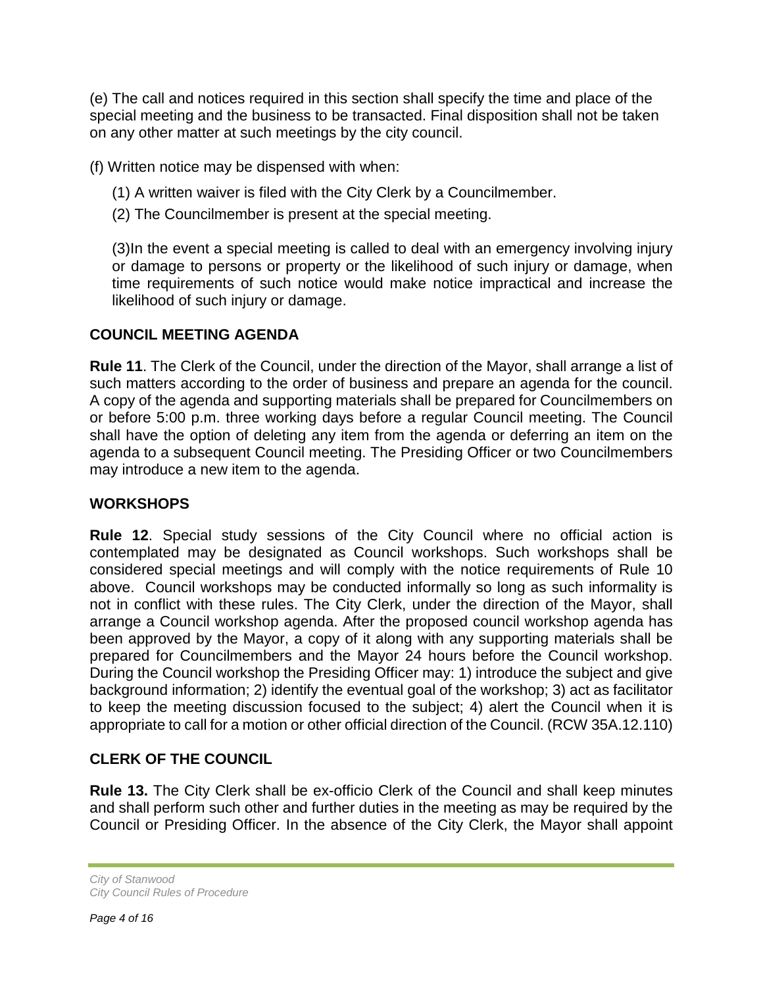(e) The call and notices required in this section shall specify the time and place of the special meeting and the business to be transacted. Final disposition shall not be taken on any other matter at such meetings by the city council.

(f) Written notice may be dispensed with when:

- (1) A written waiver is filed with the City Clerk by a Councilmember.
- (2) The Councilmember is present at the special meeting.

(3)In the event a special meeting is called to deal with an emergency involving injury or damage to persons or property or the likelihood of such injury or damage, when time requirements of such notice would make notice impractical and increase the likelihood of such injury or damage.

#### **COUNCIL MEETING AGENDA**

**Rule 11**. The Clerk of the Council, under the direction of the Mayor, shall arrange a list of such matters according to the order of business and prepare an agenda for the council. A copy of the agenda and supporting materials shall be prepared for Councilmembers on or before 5:00 p.m. three working days before a regular Council meeting. The Council shall have the option of deleting any item from the agenda or deferring an item on the agenda to a subsequent Council meeting. The Presiding Officer or two Councilmembers may introduce a new item to the agenda.

## **WORKSHOPS**

**Rule 12**. Special study sessions of the City Council where no official action is contemplated may be designated as Council workshops. Such workshops shall be considered special meetings and will comply with the notice requirements of Rule 10 above. Council workshops may be conducted informally so long as such informality is not in conflict with these rules. The City Clerk, under the direction of the Mayor, shall arrange a Council workshop agenda. After the proposed council workshop agenda has been approved by the Mayor, a copy of it along with any supporting materials shall be prepared for Councilmembers and the Mayor 24 hours before the Council workshop. During the Council workshop the Presiding Officer may: 1) introduce the subject and give background information; 2) identify the eventual goal of the workshop; 3) act as facilitator to keep the meeting discussion focused to the subject; 4) alert the Council when it is appropriate to call for a motion or other official direction of the Council. (RCW 35A.12.110)

## **CLERK OF THE COUNCIL**

**Rule 13.** The City Clerk shall be ex-officio Clerk of the Council and shall keep minutes and shall perform such other and further duties in the meeting as may be required by the Council or Presiding Officer. In the absence of the City Clerk, the Mayor shall appoint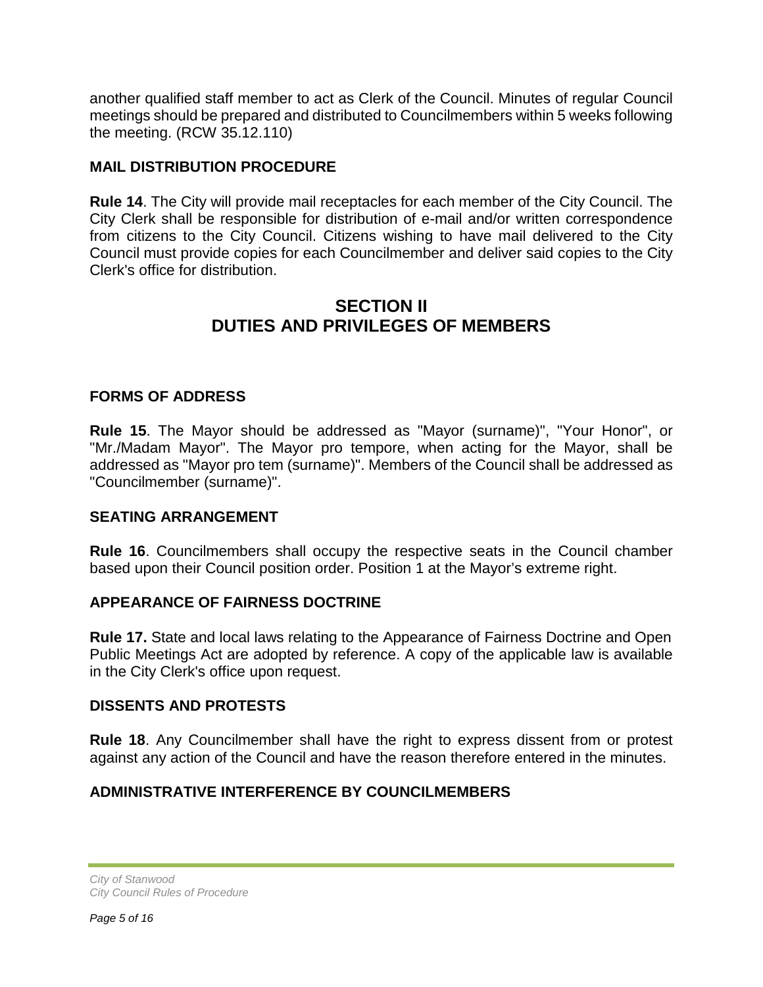another qualified staff member to act as Clerk of the Council. Minutes of regular Council meetings should be prepared and distributed to Councilmembers within 5 weeks following the meeting. (RCW 35.12.110)

## **MAIL DISTRIBUTION PROCEDURE**

**Rule 14**. The City will provide mail receptacles for each member of the City Council. The City Clerk shall be responsible for distribution of e-mail and/or written correspondence from citizens to the City Council. Citizens wishing to have mail delivered to the City Council must provide copies for each Councilmember and deliver said copies to the City Clerk's office for distribution.

## **SECTION II DUTIES AND PRIVILEGES OF MEMBERS**

#### **FORMS OF ADDRESS**

**Rule 15**. The Mayor should be addressed as "Mayor (surname)", "Your Honor", or "Mr./Madam Mayor". The Mayor pro tempore, when acting for the Mayor, shall be addressed as "Mayor pro tem (surname)". Members of the Council shall be addressed as "Councilmember (surname)".

#### **SEATING ARRANGEMENT**

**Rule 16**. Councilmembers shall occupy the respective seats in the Council chamber based upon their Council position order. Position 1 at the Mayor's extreme right.

#### **APPEARANCE OF FAIRNESS DOCTRINE**

**Rule 17.** State and local laws relating to the Appearance of Fairness Doctrine and Open Public Meetings Act are adopted by reference. A copy of the applicable law is available in the City Clerk's office upon request.

#### **DISSENTS AND PROTESTS**

**Rule 18**. Any Councilmember shall have the right to express dissent from or protest against any action of the Council and have the reason therefore entered in the minutes.

## **ADMINISTRATIVE INTERFERENCE BY COUNCILMEMBERS**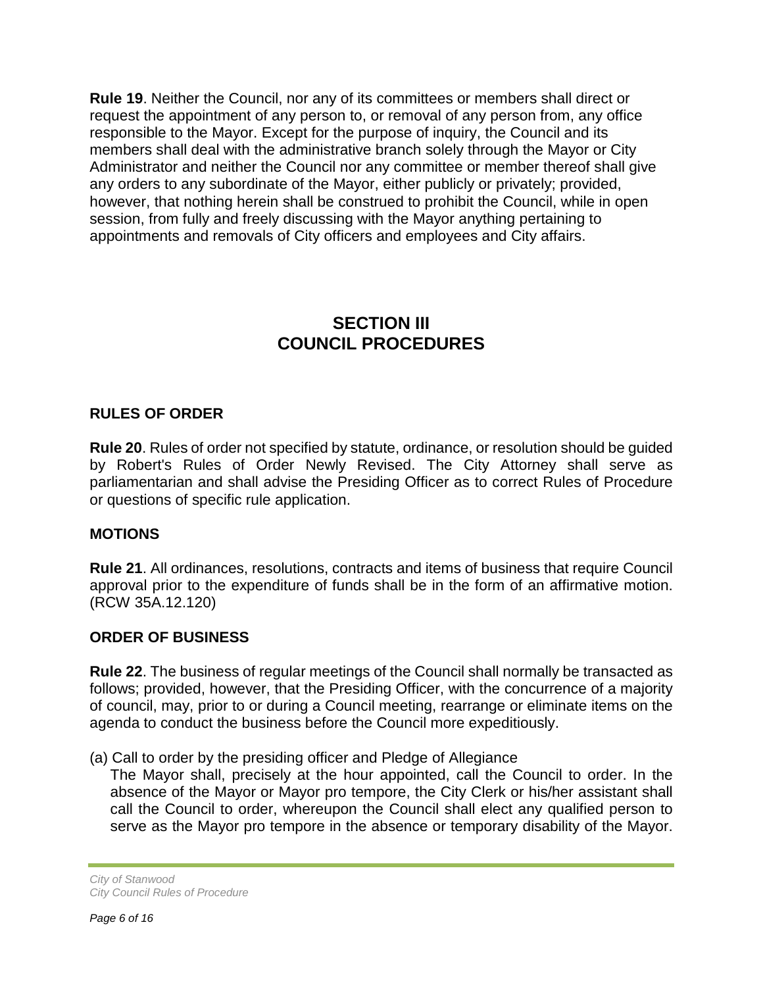**Rule 19**. Neither the Council, nor any of its committees or members shall direct or request the appointment of any person to, or removal of any person from, any office responsible to the Mayor. Except for the purpose of inquiry, the Council and its members shall deal with the administrative branch solely through the Mayor or City Administrator and neither the Council nor any committee or member thereof shall give any orders to any subordinate of the Mayor, either publicly or privately; provided, however, that nothing herein shall be construed to prohibit the Council, while in open session, from fully and freely discussing with the Mayor anything pertaining to appointments and removals of City officers and employees and City affairs.

## **SECTION III COUNCIL PROCEDURES**

#### **RULES OF ORDER**

**Rule 20**. Rules of order not specified by statute, ordinance, or resolution should be guided by Robert's Rules of Order Newly Revised. The City Attorney shall serve as parliamentarian and shall advise the Presiding Officer as to correct Rules of Procedure or questions of specific rule application.

#### **MOTIONS**

**Rule 21**. All ordinances, resolutions, contracts and items of business that require Council approval prior to the expenditure of funds shall be in the form of an affirmative motion. (RCW 35A.12.120)

#### **ORDER OF BUSINESS**

**Rule 22**. The business of regular meetings of the Council shall normally be transacted as follows; provided, however, that the Presiding Officer, with the concurrence of a majority of council, may, prior to or during a Council meeting, rearrange or eliminate items on the agenda to conduct the business before the Council more expeditiously.

(a) Call to order by the presiding officer and Pledge of Allegiance

The Mayor shall, precisely at the hour appointed, call the Council to order. In the absence of the Mayor or Mayor pro tempore, the City Clerk or his/her assistant shall call the Council to order, whereupon the Council shall elect any qualified person to serve as the Mayor pro tempore in the absence or temporary disability of the Mayor.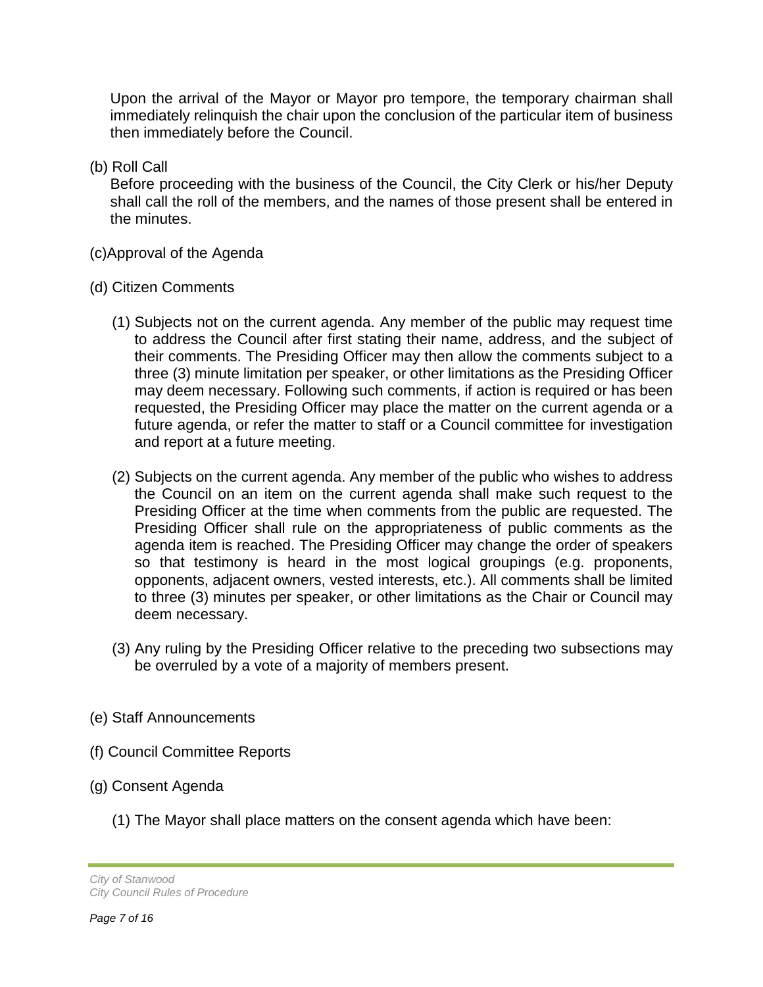Upon the arrival of the Mayor or Mayor pro tempore, the temporary chairman shall immediately relinquish the chair upon the conclusion of the particular item of business then immediately before the Council.

(b) Roll Call

Before proceeding with the business of the Council, the City Clerk or his/her Deputy shall call the roll of the members, and the names of those present shall be entered in the minutes.

- (c)Approval of the Agenda
- (d) Citizen Comments
	- (1) Subjects not on the current agenda. Any member of the public may request time to address the Council after first stating their name, address, and the subject of their comments. The Presiding Officer may then allow the comments subject to a three (3) minute limitation per speaker, or other limitations as the Presiding Officer may deem necessary. Following such comments, if action is required or has been requested, the Presiding Officer may place the matter on the current agenda or a future agenda, or refer the matter to staff or a Council committee for investigation and report at a future meeting.
	- (2) Subjects on the current agenda. Any member of the public who wishes to address the Council on an item on the current agenda shall make such request to the Presiding Officer at the time when comments from the public are requested. The Presiding Officer shall rule on the appropriateness of public comments as the agenda item is reached. The Presiding Officer may change the order of speakers so that testimony is heard in the most logical groupings (e.g. proponents, opponents, adjacent owners, vested interests, etc.). All comments shall be limited to three (3) minutes per speaker, or other limitations as the Chair or Council may deem necessary.
	- (3) Any ruling by the Presiding Officer relative to the preceding two subsections may be overruled by a vote of a majority of members present.
- (e) Staff Announcements
- (f) Council Committee Reports
- (g) Consent Agenda
	- (1) The Mayor shall place matters on the consent agenda which have been:

*City of Stanwood City Council Rules of Procedure*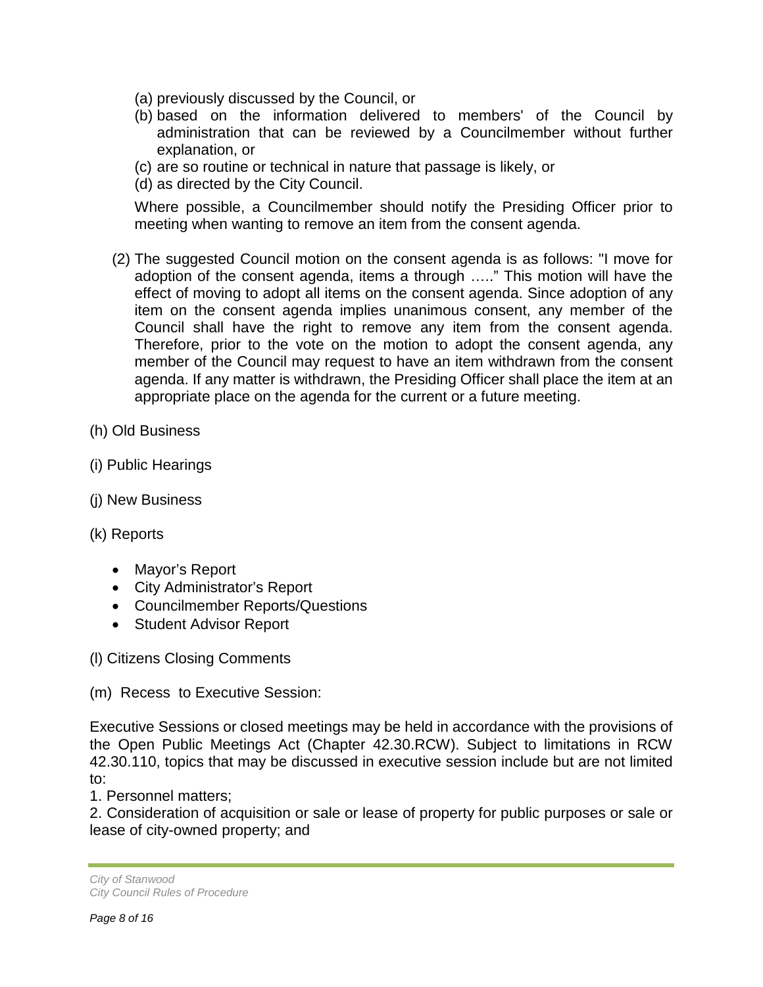- (a) previously discussed by the Council, or
- (b) based on the information delivered to members' of the Council by administration that can be reviewed by a Councilmember without further explanation, or
- (c) are so routine or technical in nature that passage is likely, or
- (d) as directed by the City Council.

Where possible, a Councilmember should notify the Presiding Officer prior to meeting when wanting to remove an item from the consent agenda.

- (2) The suggested Council motion on the consent agenda is as follows: "I move for adoption of the consent agenda, items a through ….." This motion will have the effect of moving to adopt all items on the consent agenda. Since adoption of any item on the consent agenda implies unanimous consent, any member of the Council shall have the right to remove any item from the consent agenda. Therefore, prior to the vote on the motion to adopt the consent agenda, any member of the Council may request to have an item withdrawn from the consent agenda. If any matter is withdrawn, the Presiding Officer shall place the item at an appropriate place on the agenda for the current or a future meeting.
- (h) Old Business
- (i) Public Hearings
- (j) New Business
- (k) Reports
	- Mayor's Report
	- City Administrator's Report
	- Councilmember Reports/Questions
	- Student Advisor Report

(l) Citizens Closing Comments

(m) Recess to Executive Session:

Executive Sessions or closed meetings may be held in accordance with the provisions of the Open Public Meetings Act (Chapter 42.30.RCW). Subject to limitations in RCW 42.30.110, topics that may be discussed in executive session include but are not limited to:

1. Personnel matters;

2. Consideration of acquisition or sale or lease of property for public purposes or sale or lease of city-owned property; and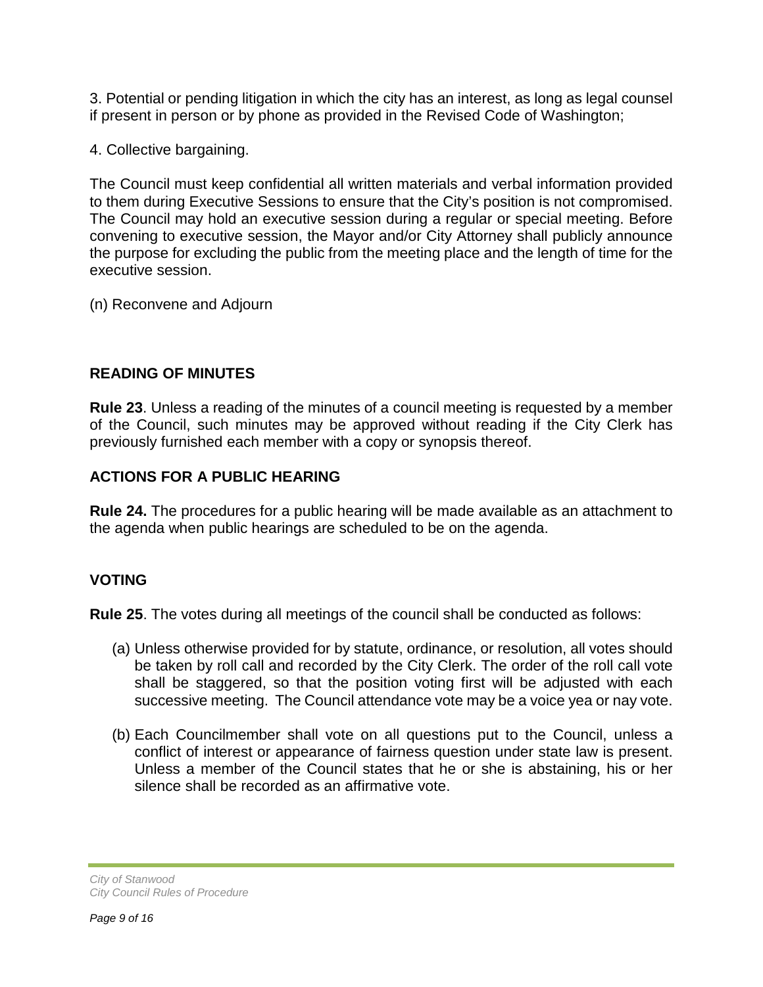3. Potential or pending litigation in which the city has an interest, as long as legal counsel if present in person or by phone as provided in the Revised Code of Washington;

4. Collective bargaining.

The Council must keep confidential all written materials and verbal information provided to them during Executive Sessions to ensure that the City's position is not compromised. The Council may hold an executive session during a regular or special meeting. Before convening to executive session, the Mayor and/or City Attorney shall publicly announce the purpose for excluding the public from the meeting place and the length of time for the executive session.

(n) Reconvene and Adjourn

#### **READING OF MINUTES**

**Rule 23**. Unless a reading of the minutes of a council meeting is requested by a member of the Council, such minutes may be approved without reading if the City Clerk has previously furnished each member with a copy or synopsis thereof.

#### **ACTIONS FOR A PUBLIC HEARING**

**Rule 24.** The procedures for a public hearing will be made available as an attachment to the agenda when public hearings are scheduled to be on the agenda.

## **VOTING**

**Rule 25**. The votes during all meetings of the council shall be conducted as follows:

- (a) Unless otherwise provided for by statute, ordinance, or resolution, all votes should be taken by roll call and recorded by the City Clerk. The order of the roll call vote shall be staggered, so that the position voting first will be adjusted with each successive meeting. The Council attendance vote may be a voice yea or nay vote.
- (b) Each Councilmember shall vote on all questions put to the Council, unless a conflict of interest or appearance of fairness question under state law is present. Unless a member of the Council states that he or she is abstaining, his or her silence shall be recorded as an affirmative vote.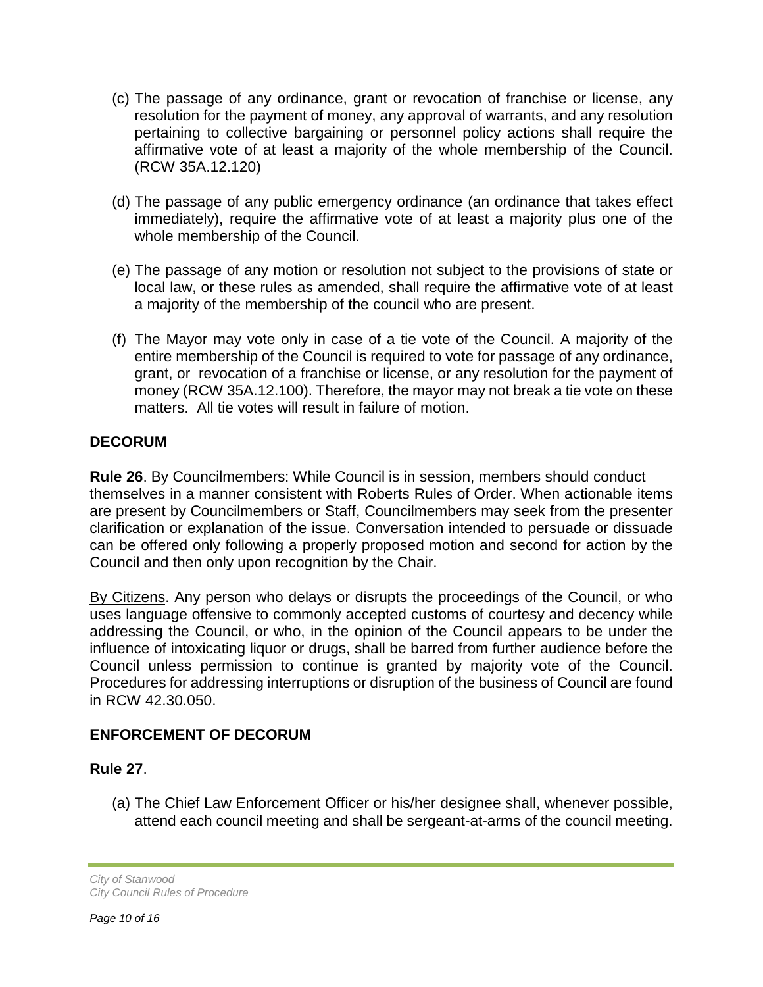- (c) The passage of any ordinance, grant or revocation of franchise or license, any resolution for the payment of money, any approval of warrants, and any resolution pertaining to collective bargaining or personnel policy actions shall require the affirmative vote of at least a majority of the whole membership of the Council. (RCW 35A.12.120)
- (d) The passage of any public emergency ordinance (an ordinance that takes effect immediately), require the affirmative vote of at least a majority plus one of the whole membership of the Council.
- (e) The passage of any motion or resolution not subject to the provisions of state or local law, or these rules as amended, shall require the affirmative vote of at least a majority of the membership of the council who are present.
- (f) The Mayor may vote only in case of a tie vote of the Council. A majority of the entire membership of the Council is required to vote for passage of any ordinance, grant, or revocation of a franchise or license, or any resolution for the payment of money (RCW 35A.12.100). Therefore, the mayor may not break a tie vote on these matters. All tie votes will result in failure of motion.

## **DECORUM**

**Rule 26**. By Councilmembers: While Council is in session, members should conduct themselves in a manner consistent with Roberts Rules of Order. When actionable items are present by Councilmembers or Staff, Councilmembers may seek from the presenter clarification or explanation of the issue. Conversation intended to persuade or dissuade can be offered only following a properly proposed motion and second for action by the Council and then only upon recognition by the Chair.

By Citizens. Any person who delays or disrupts the proceedings of the Council, or who uses language offensive to commonly accepted customs of courtesy and decency while addressing the Council, or who, in the opinion of the Council appears to be under the influence of intoxicating liquor or drugs, shall be barred from further audience before the Council unless permission to continue is granted by majority vote of the Council. Procedures for addressing interruptions or disruption of the business of Council are found in RCW 42.30.050.

#### **ENFORCEMENT OF DECORUM**

#### **Rule 27**.

(a) The Chief Law Enforcement Officer or his/her designee shall, whenever possible, attend each council meeting and shall be sergeant-at-arms of the council meeting.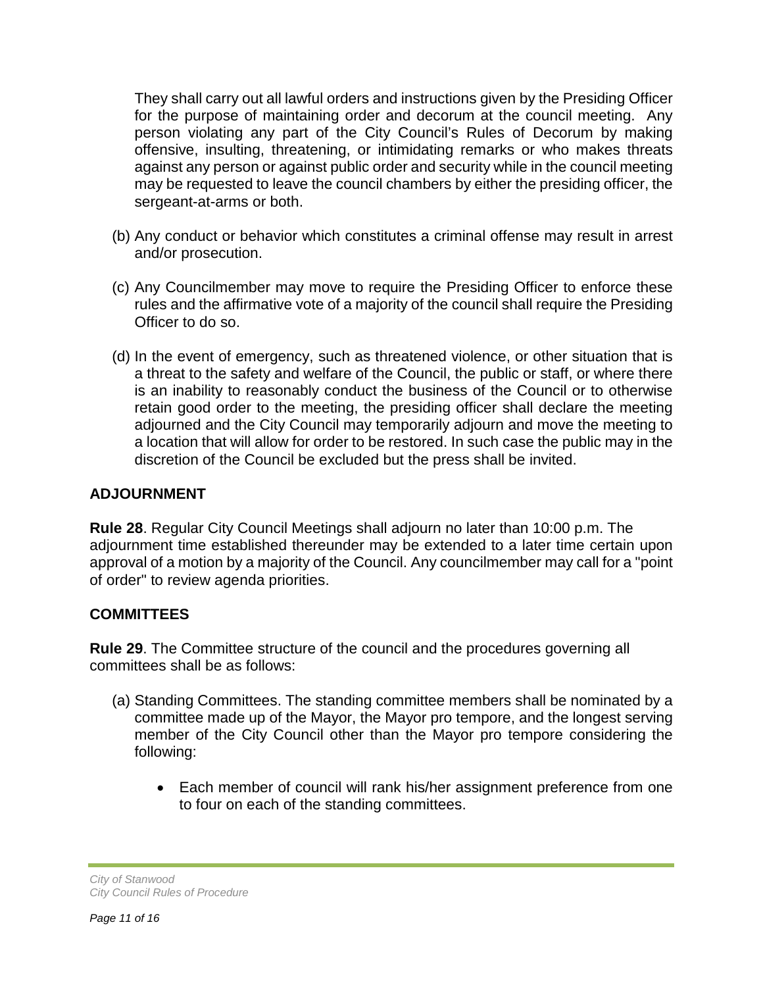They shall carry out all lawful orders and instructions given by the Presiding Officer for the purpose of maintaining order and decorum at the council meeting. Any person violating any part of the City Council's Rules of Decorum by making offensive, insulting, threatening, or intimidating remarks or who makes threats against any person or against public order and security while in the council meeting may be requested to leave the council chambers by either the presiding officer, the sergeant-at-arms or both.

- (b) Any conduct or behavior which constitutes a criminal offense may result in arrest and/or prosecution.
- (c) Any Councilmember may move to require the Presiding Officer to enforce these rules and the affirmative vote of a majority of the council shall require the Presiding Officer to do so.
- (d) In the event of emergency, such as threatened violence, or other situation that is a threat to the safety and welfare of the Council, the public or staff, or where there is an inability to reasonably conduct the business of the Council or to otherwise retain good order to the meeting, the presiding officer shall declare the meeting adjourned and the City Council may temporarily adjourn and move the meeting to a location that will allow for order to be restored. In such case the public may in the discretion of the Council be excluded but the press shall be invited.

## **ADJOURNMENT**

**Rule 28**. Regular City Council Meetings shall adjourn no later than 10:00 p.m. The adjournment time established thereunder may be extended to a later time certain upon approval of a motion by a majority of the Council. Any councilmember may call for a "point of order" to review agenda priorities.

#### **COMMITTEES**

**Rule 29**. The Committee structure of the council and the procedures governing all committees shall be as follows:

- (a) Standing Committees. The standing committee members shall be nominated by a committee made up of the Mayor, the Mayor pro tempore, and the longest serving member of the City Council other than the Mayor pro tempore considering the following:
	- Each member of council will rank his/her assignment preference from one to four on each of the standing committees.

*City of Stanwood City Council Rules of Procedure*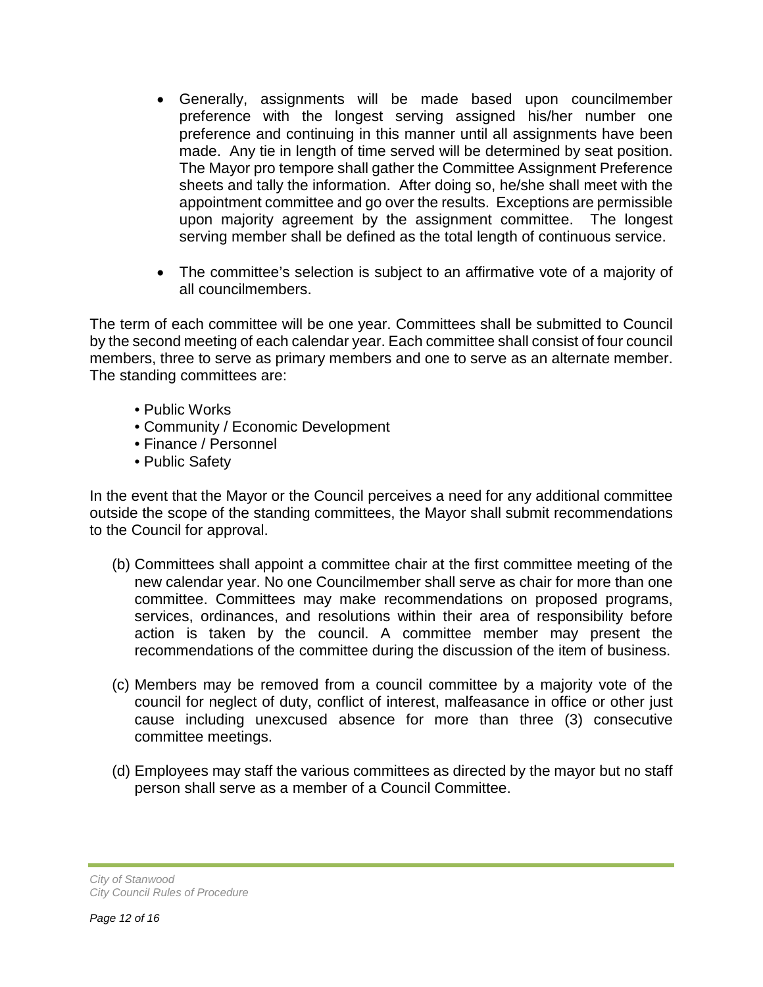- Generally, assignments will be made based upon councilmember preference with the longest serving assigned his/her number one preference and continuing in this manner until all assignments have been made. Any tie in length of time served will be determined by seat position. The Mayor pro tempore shall gather the Committee Assignment Preference sheets and tally the information. After doing so, he/she shall meet with the appointment committee and go over the results. Exceptions are permissible upon majority agreement by the assignment committee. The longest serving member shall be defined as the total length of continuous service.
- The committee's selection is subject to an affirmative vote of a majority of all councilmembers.

The term of each committee will be one year. Committees shall be submitted to Council by the second meeting of each calendar year. Each committee shall consist of four council members, three to serve as primary members and one to serve as an alternate member. The standing committees are:

- Public Works
- Community / Economic Development
- Finance / Personnel
- Public Safety

In the event that the Mayor or the Council perceives a need for any additional committee outside the scope of the standing committees, the Mayor shall submit recommendations to the Council for approval.

- (b) Committees shall appoint a committee chair at the first committee meeting of the new calendar year. No one Councilmember shall serve as chair for more than one committee. Committees may make recommendations on proposed programs, services, ordinances, and resolutions within their area of responsibility before action is taken by the council. A committee member may present the recommendations of the committee during the discussion of the item of business.
- (c) Members may be removed from a council committee by a majority vote of the council for neglect of duty, conflict of interest, malfeasance in office or other just cause including unexcused absence for more than three (3) consecutive committee meetings.
- (d) Employees may staff the various committees as directed by the mayor but no staff person shall serve as a member of a Council Committee.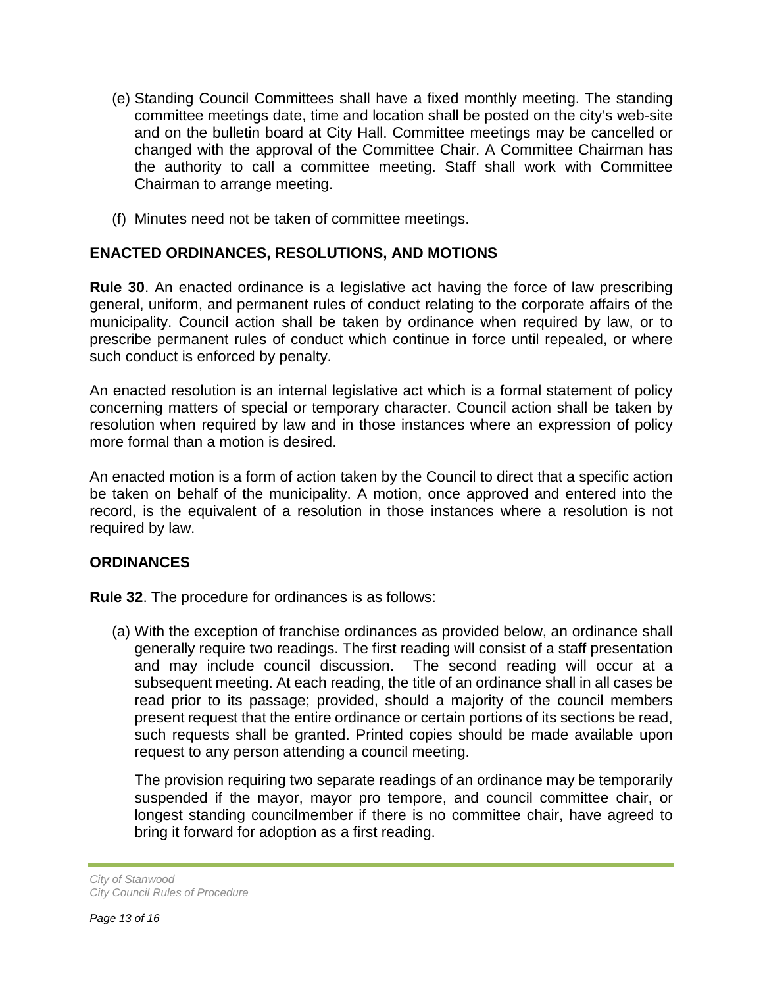- (e) Standing Council Committees shall have a fixed monthly meeting. The standing committee meetings date, time and location shall be posted on the city's web-site and on the bulletin board at City Hall. Committee meetings may be cancelled or changed with the approval of the Committee Chair. A Committee Chairman has the authority to call a committee meeting. Staff shall work with Committee Chairman to arrange meeting.
- (f) Minutes need not be taken of committee meetings.

## **ENACTED ORDINANCES, RESOLUTIONS, AND MOTIONS**

**Rule 30**. An enacted ordinance is a legislative act having the force of law prescribing general, uniform, and permanent rules of conduct relating to the corporate affairs of the municipality. Council action shall be taken by ordinance when required by law, or to prescribe permanent rules of conduct which continue in force until repealed, or where such conduct is enforced by penalty.

An enacted resolution is an internal legislative act which is a formal statement of policy concerning matters of special or temporary character. Council action shall be taken by resolution when required by law and in those instances where an expression of policy more formal than a motion is desired.

An enacted motion is a form of action taken by the Council to direct that a specific action be taken on behalf of the municipality. A motion, once approved and entered into the record, is the equivalent of a resolution in those instances where a resolution is not required by law.

## **ORDINANCES**

**Rule 32**. The procedure for ordinances is as follows:

(a) With the exception of franchise ordinances as provided below, an ordinance shall generally require two readings. The first reading will consist of a staff presentation and may include council discussion. The second reading will occur at a subsequent meeting. At each reading, the title of an ordinance shall in all cases be read prior to its passage; provided, should a majority of the council members present request that the entire ordinance or certain portions of its sections be read, such requests shall be granted. Printed copies should be made available upon request to any person attending a council meeting.

The provision requiring two separate readings of an ordinance may be temporarily suspended if the mayor, mayor pro tempore, and council committee chair, or longest standing councilmember if there is no committee chair, have agreed to bring it forward for adoption as a first reading.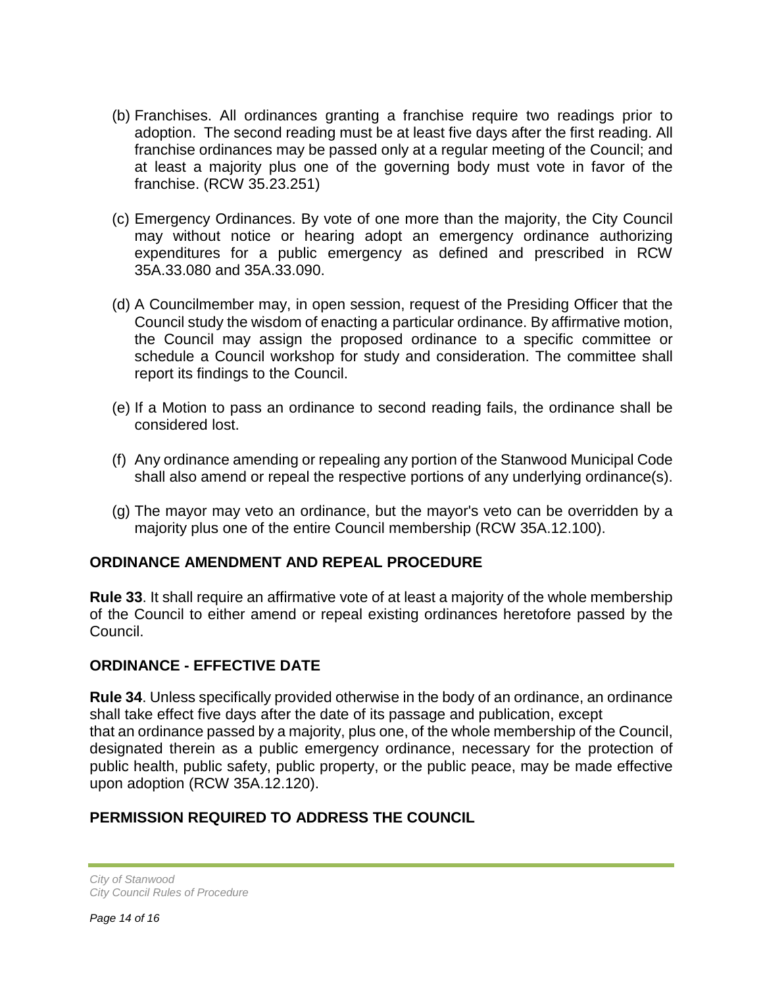- (b) Franchises. All ordinances granting a franchise require two readings prior to adoption. The second reading must be at least five days after the first reading. All franchise ordinances may be passed only at a regular meeting of the Council; and at least a majority plus one of the governing body must vote in favor of the franchise. (RCW 35.23.251)
- (c) Emergency Ordinances. By vote of one more than the majority, the City Council may without notice or hearing adopt an emergency ordinance authorizing expenditures for a public emergency as defined and prescribed in RCW 35A.33.080 and 35A.33.090.
- (d) A Councilmember may, in open session, request of the Presiding Officer that the Council study the wisdom of enacting a particular ordinance. By affirmative motion, the Council may assign the proposed ordinance to a specific committee or schedule a Council workshop for study and consideration. The committee shall report its findings to the Council.
- (e) If a Motion to pass an ordinance to second reading fails, the ordinance shall be considered lost.
- (f) Any ordinance amending or repealing any portion of the Stanwood Municipal Code shall also amend or repeal the respective portions of any underlying ordinance(s).
- (g) The mayor may veto an ordinance, but the mayor's veto can be overridden by a majority plus one of the entire Council membership (RCW 35A.12.100).

## **ORDINANCE AMENDMENT AND REPEAL PROCEDURE**

**Rule 33**. It shall require an affirmative vote of at least a majority of the whole membership of the Council to either amend or repeal existing ordinances heretofore passed by the Council.

## **ORDINANCE - EFFECTIVE DATE**

**Rule 34**. Unless specifically provided otherwise in the body of an ordinance, an ordinance shall take effect five days after the date of its passage and publication, except that an ordinance passed by a majority, plus one, of the whole membership of the Council, designated therein as a public emergency ordinance, necessary for the protection of public health, public safety, public property, or the public peace, may be made effective upon adoption (RCW 35A.12.120).

## **PERMISSION REQUIRED TO ADDRESS THE COUNCIL**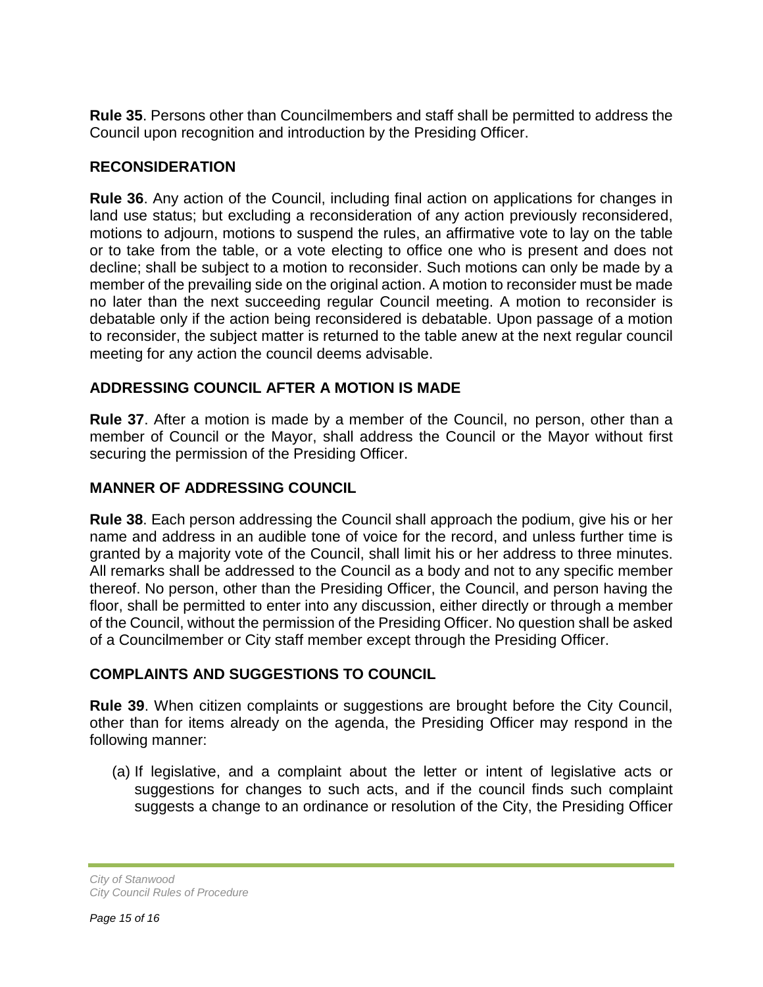**Rule 35**. Persons other than Councilmembers and staff shall be permitted to address the Council upon recognition and introduction by the Presiding Officer.

## **RECONSIDERATION**

**Rule 36**. Any action of the Council, including final action on applications for changes in land use status; but excluding a reconsideration of any action previously reconsidered, motions to adjourn, motions to suspend the rules, an affirmative vote to lay on the table or to take from the table, or a vote electing to office one who is present and does not decline; shall be subject to a motion to reconsider. Such motions can only be made by a member of the prevailing side on the original action. A motion to reconsider must be made no later than the next succeeding regular Council meeting. A motion to reconsider is debatable only if the action being reconsidered is debatable. Upon passage of a motion to reconsider, the subject matter is returned to the table anew at the next regular council meeting for any action the council deems advisable.

## **ADDRESSING COUNCIL AFTER A MOTION IS MADE**

**Rule 37**. After a motion is made by a member of the Council, no person, other than a member of Council or the Mayor, shall address the Council or the Mayor without first securing the permission of the Presiding Officer.

## **MANNER OF ADDRESSING COUNCIL**

**Rule 38**. Each person addressing the Council shall approach the podium, give his or her name and address in an audible tone of voice for the record, and unless further time is granted by a majority vote of the Council, shall limit his or her address to three minutes. All remarks shall be addressed to the Council as a body and not to any specific member thereof. No person, other than the Presiding Officer, the Council, and person having the floor, shall be permitted to enter into any discussion, either directly or through a member of the Council, without the permission of the Presiding Officer. No question shall be asked of a Councilmember or City staff member except through the Presiding Officer.

#### **COMPLAINTS AND SUGGESTIONS TO COUNCIL**

**Rule 39**. When citizen complaints or suggestions are brought before the City Council, other than for items already on the agenda, the Presiding Officer may respond in the following manner:

(a) If legislative, and a complaint about the letter or intent of legislative acts or suggestions for changes to such acts, and if the council finds such complaint suggests a change to an ordinance or resolution of the City, the Presiding Officer